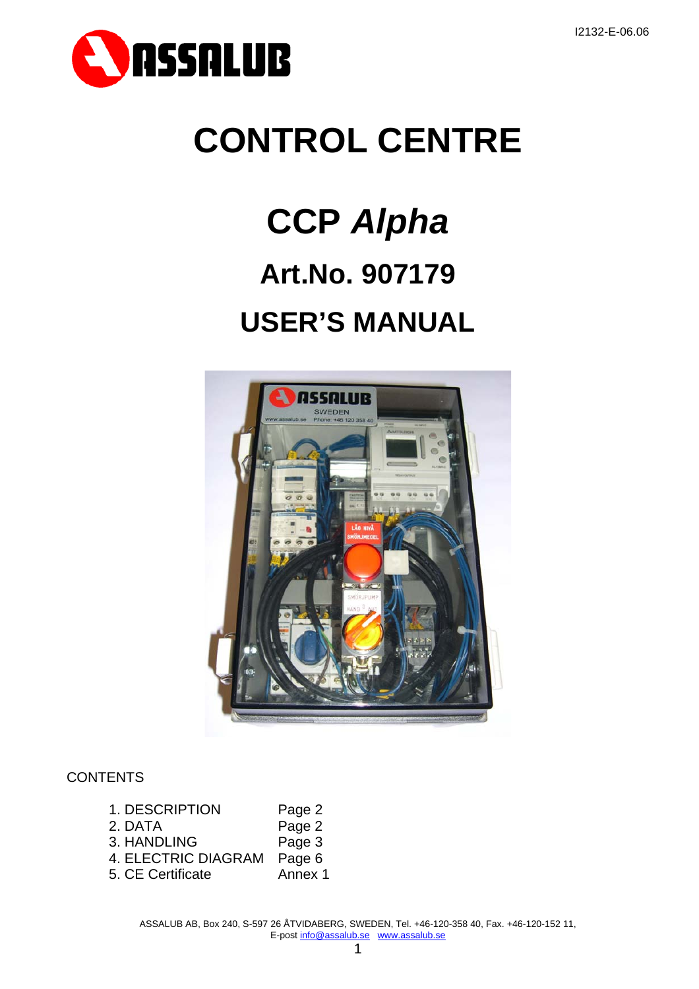

# **CONTROL CENTRE**

# **CCP** *Alpha* **Art.No. 907179 USER'S MANUAL**



# **CONTENTS**

| 1. DESCRIPTION      | Page 2  |
|---------------------|---------|
| 2. DATA             | Page 2  |
| 3. HANDLING         | Page 3  |
| 4. ELECTRIC DIAGRAM | Page 6  |
| 5. CE Certificate   | Annex 1 |

ASSALUB AB, Box 240, S-597 26 ÅTVIDABERG, SWEDEN, Tel. +46-120-358 40, Fax. +46-120-152 11, E-post info@assalub.se www.assalub.se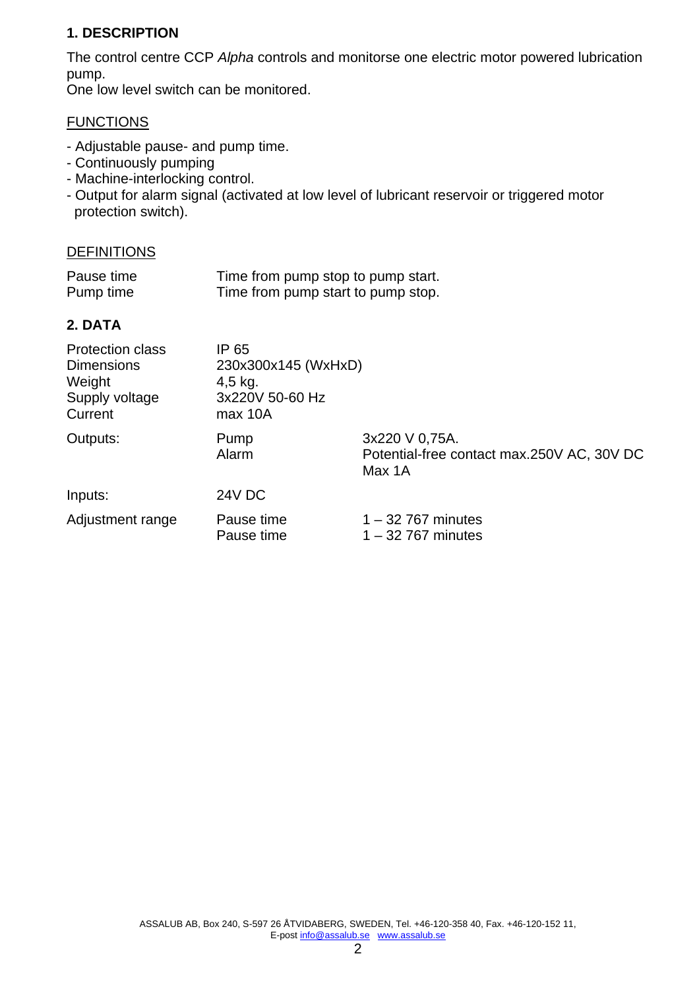#### **1. DESCRIPTION**

The control centre CCP *Alpha* controls and monitorse one electric motor powered lubrication pump.

One low level switch can be monitored.

#### **FUNCTIONS**

- Adjustable pause- and pump time.
- Continuously pumping
- Machine-interlocking control.
- Output for alarm signal (activated at low level of lubricant reservoir or triggered motor protection switch).

#### DEFINITIONS

| Pause time | Time from pump stop to pump start. |
|------------|------------------------------------|
| Pump time  | Time from pump start to pump stop. |

#### **2. DATA**

| <b>Protection class</b><br><b>Dimensions</b><br>Weight<br>Supply voltage<br>Current | IP 65<br>230x300x145 (WxHxD)<br>$4,5$ kg.<br>3x220V 50-60 Hz<br>max 10A |                                                                        |
|-------------------------------------------------------------------------------------|-------------------------------------------------------------------------|------------------------------------------------------------------------|
| Outputs:                                                                            | Pump<br>Alarm                                                           | 3x220 V 0,75A.<br>Potential-free contact max.250V AC, 30V DC<br>Max 1A |
| Inputs:                                                                             | <b>24V DC</b>                                                           |                                                                        |
| Adjustment range                                                                    | Pause time<br>Pause time                                                | $1 - 32$ 767 minutes<br>$1 - 32$ 767 minutes                           |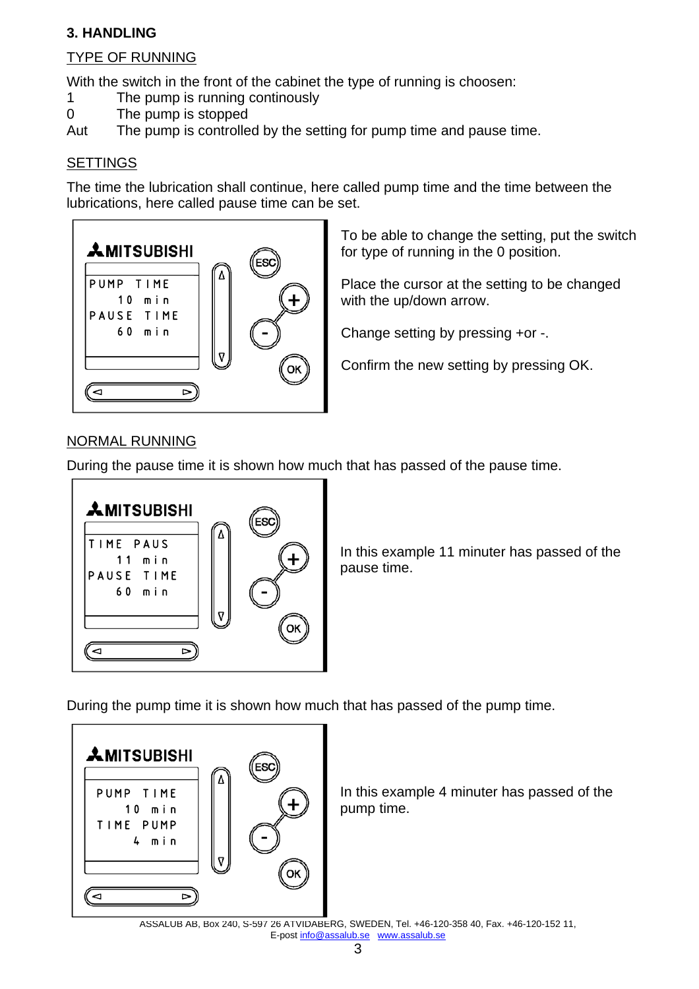### **3. HANDLING**

#### TYPE OF RUNNING

With the switch in the front of the cabinet the type of running is choosen:

- 1 The pump is running continously
- 0 The pump is stopped

Aut The pump is controlled by the setting for pump time and pause time.

#### **SETTINGS**

The time the lubrication shall continue, here called pump time and the time between the lubrications, here called pause time can be set.



To be able to change the setting, put the switch for type of running in the 0 position.

Place the cursor at the setting to be changed with the up/down arrow.

Change setting by pressing +or -.

Confirm the new setting by pressing OK.

#### NORMAL RUNNING

During the pause time it is shown how much that has passed of the pause time.



In this example 11 minuter has passed of the pause time.

During the pump time it is shown how much that has passed of the pump time.



In this example 4 minuter has passed of the pump time.

ASSALUB AB, Box 240, S-597 26 ÅTVIDABERG, SWEDEN, Tel. +46-120-358 40, Fax. +46-120-152 11, E-post info@assalub.se www.assalub.se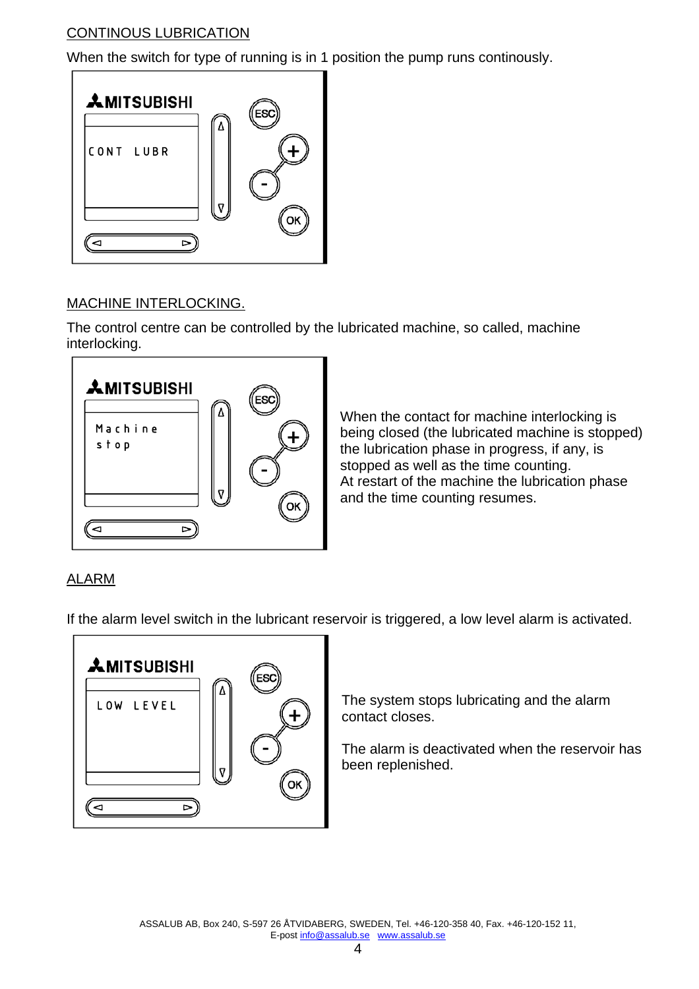### CONTINOUS LUBRICATION

When the switch for type of running is in 1 position the pump runs continously.



# MACHINE INTERLOCKING.

The control centre can be controlled by the lubricated machine, so called, machine interlocking.



When the contact for machine interlocking is being closed (the lubricated machine is stopped) the lubrication phase in progress, if any, is stopped as well as the time counting. At restart of the machine the lubrication phase and the time counting resumes.

# ALARM

If the alarm level switch in the lubricant reservoir is triggered, a low level alarm is activated.



The system stops lubricating and the alarm contact closes.

The alarm is deactivated when the reservoir has been replenished.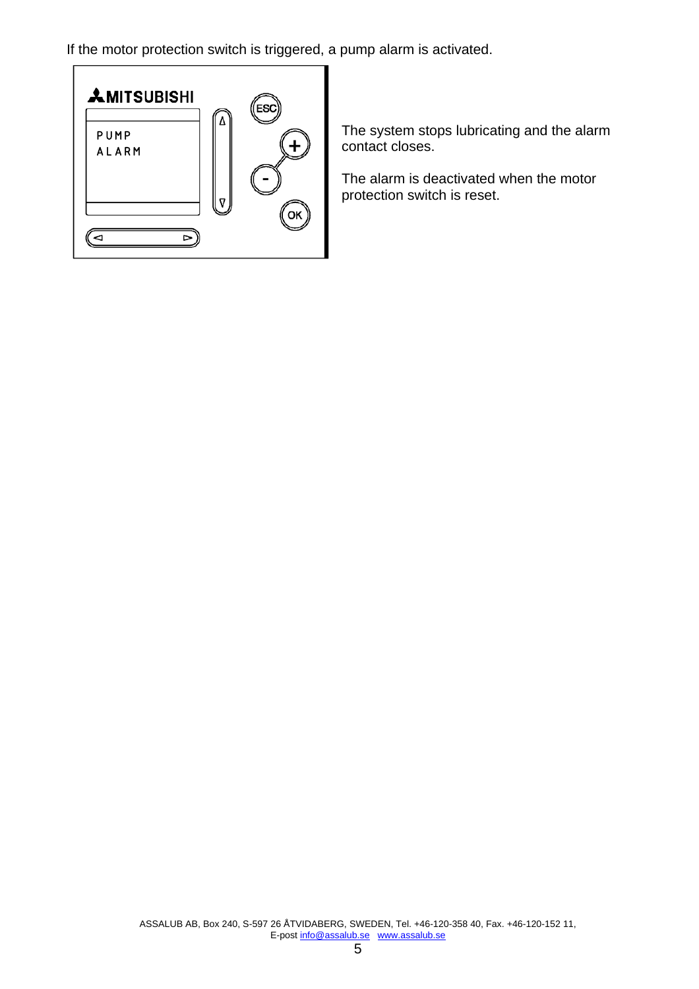If the motor protection switch is triggered, a pump alarm is activated.



The system stops lubricating and the alarm contact closes.

The alarm is deactivated when the motor protection switch is reset.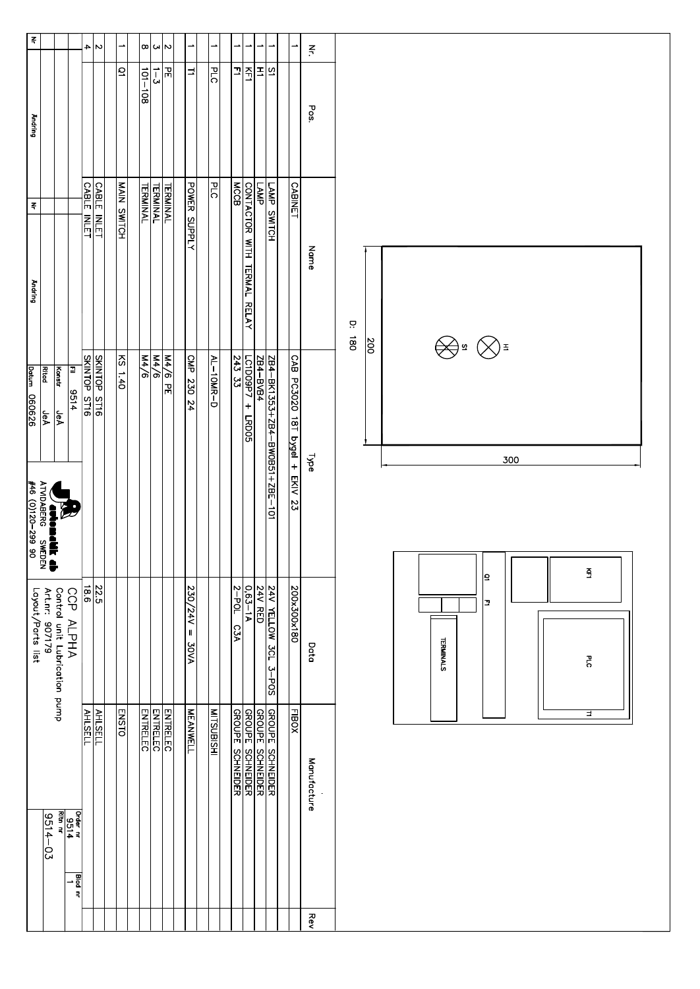| $\overline{z}$                                                              |                                                 |                             | ᅱ                         | $\sim$                           | ∸                  |                 |                 | $\alpha \omega \infty$       | ∸                                  | $\rightarrow$     | ∸              | ∸                                           | $\rightarrow$           | ∸                                                       |                                |             | $\vec{r}$   |            |                |  |                  |       |          |     |  |  |        |  |  |
|-----------------------------------------------------------------------------|-------------------------------------------------|-----------------------------|---------------------------|----------------------------------|--------------------|-----------------|-----------------|------------------------------|------------------------------------|-------------------|----------------|---------------------------------------------|-------------------------|---------------------------------------------------------|--------------------------------|-------------|-------------|------------|----------------|--|------------------|-------|----------|-----|--|--|--------|--|--|
| <b>Andring</b>                                                              |                                                 |                             |                           |                                  | ā                  | $101 - 101$     | $1 - 3$         | 뉴                            | $\exists$                          | PLC               | Ţ              | KF1                                         | $\overline{z}$          | $\overline{a}$                                          |                                |             | Pos.        |            |                |  |                  |       |          |     |  |  |        |  |  |
| $\Xi$<br><b>Andring</b>                                                     |                                                 |                             |                           | <b>CABLE INLET</b><br>TELL INLET | <b>MAIN SWITCH</b> | <b>TERMINAL</b> | <b>TERMINAL</b> | <b>TERMINAL</b>              | <b>POWER SUPPLY</b>                | $\frac{1}{2}$     |                | CONTACTOR WITH TERMAL RELAY<br>MCCB         | $\frac{1}{\sqrt{M}P}$   | LAMP SWICH                                              | <b>CABINET</b>                 | Name        |             | Ċ          |                |  |                  |       |          |     |  |  |        |  |  |
| batum 060626<br><b>VACIONAL IN</b><br>ATMDABERG SWEDEN<br>#46 (0)120–299 90 | <b>Ritad</b><br><b>Konstr</b><br>है।<br><br>JeA | P<br>$\frac{9514}{ }$       |                           | SKINTOP STI6                     | $KS$ 1.40          | M4/6            | M4/6            | M4/6 PE                      | CMP 230 24                         | $AL-10MR-D$       | $243$ 33       | $LCDO9P7 +$<br>$\frac{1}{2005}$             |                         | <u>2B4-BK1353+ZB4-BW0B51+ZBE-101</u><br><u>ZB4-BVB4</u> | CAB PC3020 18T bygel + EKIV 23 | <b>Type</b> |             | <b>180</b> | $\frac{8}{10}$ |  |                  | Dª ⊗≢ | ו ר      | 300 |  |  |        |  |  |
| Layout/Parts list                                                           | Control unit Lubrication pump<br>Art.nr: 907179 | CCP<br><b>ALPHA</b>         |                           | $\frac{22.5}{18.6}$              |                    |                 |                 |                              | $\frac{230}{244}$ =<br><b>AVOC</b> |                   | $2-POL$<br>C3A | $0.63 - 1A$                                 | <b>24V RED</b>          | 24V YELLOW 3CL<br>$\frac{3-1005}{2}$                    | 200x300x180                    |             | Data        |            |                |  | <b>TERMINALS</b> |       | פן<br>Ľ. |     |  |  | é<br>ᄝ |  |  |
|                                                                             | $9514 - 03$                                     | Ritn nr<br>Drder nr<br>9514 | <b>AHLSELL</b><br>Blad nr | <b>AHLSELL</b>                   | <b>ENSTO</b>       | <b>ENTRELEC</b> |                 | <b>ENTRELEC</b><br>CONTRELEC | <b>MEANWELL</b>                    | <b>MTSUBISTIK</b> |                | <b>GROUPE SCHNEIDER</b><br>GROUPE SCHNEIDER | <b>GROUPE SCHNEIDER</b> | <b>GROUPE SCHNEIDER</b>                                 | <b>FIBOX</b>                   |             | Manufacture |            |                |  |                  |       |          |     |  |  | ਤ      |  |  |
|                                                                             |                                                 |                             |                           |                                  |                    |                 |                 |                              |                                    |                   |                |                                             |                         |                                                         |                                |             | Rev         |            |                |  |                  |       |          |     |  |  |        |  |  |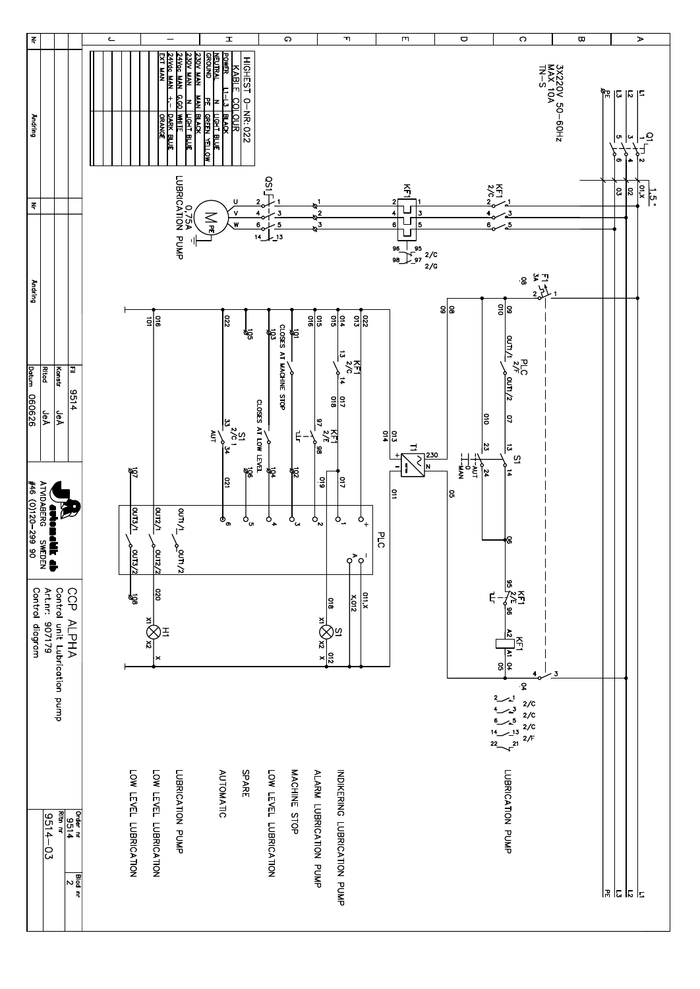